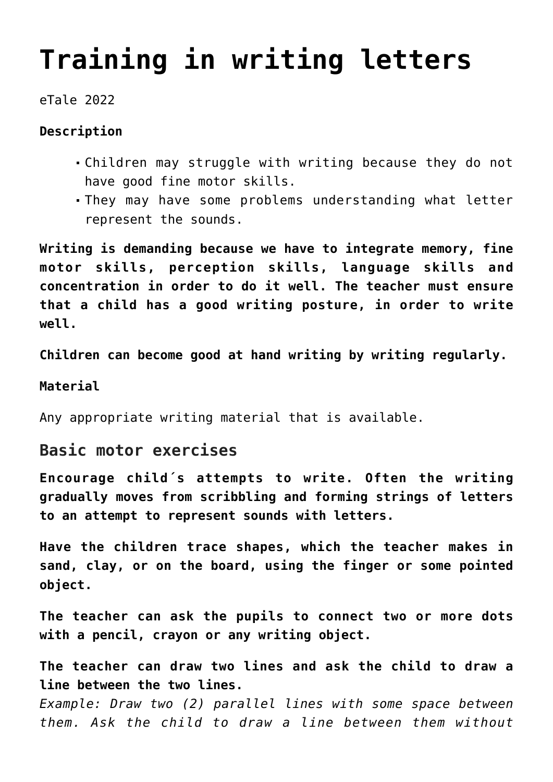# **[Training in writing letters](https://dev.taleafrica.com/tips/training-in-writing-letters/)**

eTale 2022

### **Description**

- Children may struggle with writing because they do not have good fine motor skills.
- They may have some problems understanding what letter represent the sounds.

**Writing is demanding because we have to integrate memory, fine motor skills, perception skills, language skills and concentration in order to do it well. The teacher must ensure that a child has a good writing posture, in order to write well.**

**Children can become good at hand writing by writing regularly.**

#### **Material**

Any appropriate writing material that is available.

## **Basic motor exercises**

**Encourage child´s attempts to write. Often the writing gradually moves from scribbling and forming strings of letters to an attempt to represent sounds with letters.**

**Have the children trace shapes, which the teacher makes in sand, clay, or on the board, using the finger or some pointed object.**

**The teacher can ask the pupils to connect two or more dots with a pencil, crayon or any writing object.**

**The teacher can draw two lines and ask the child to draw a line between the two lines.**

*Example: Draw two (2) parallel lines with some space between them. Ask the child to draw a line between them without*